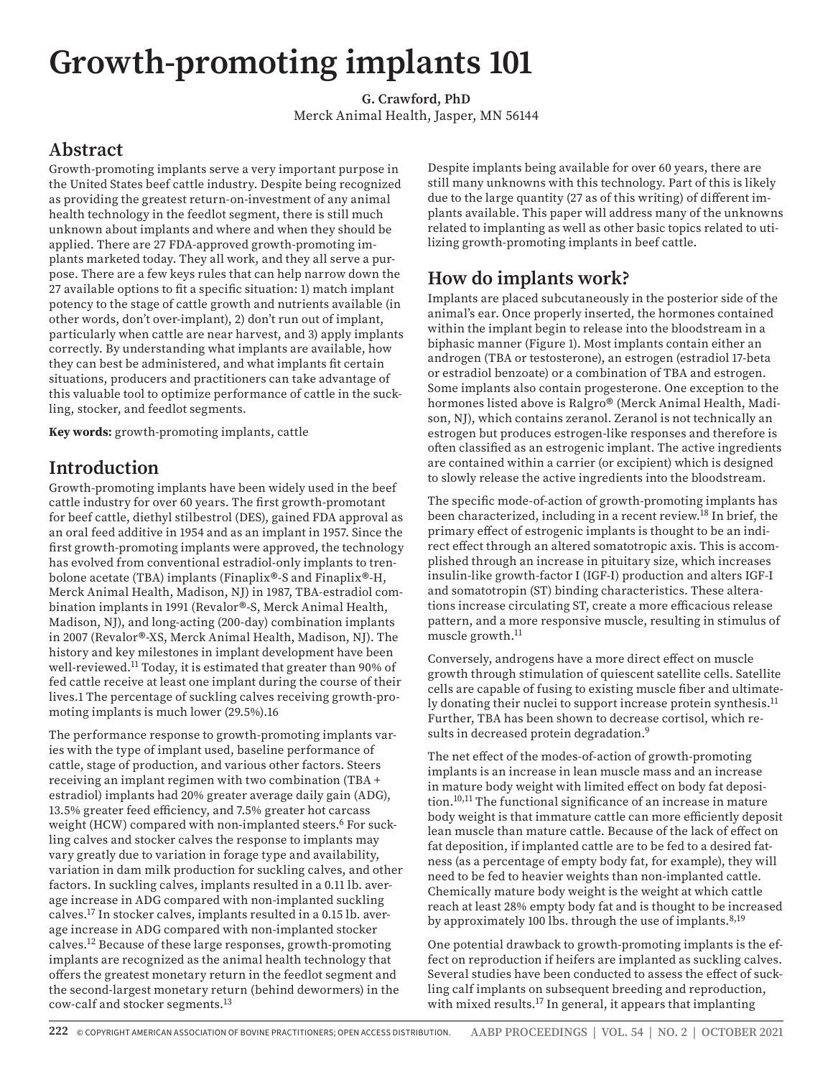# **Growth-promoting implants 101**

**G. Crawford, PhD** Merck Animal Health, Jasper, MN 56144

#### **Abstract**

Growth-promoting implants serve a very important purpose in the United States beef cattle industry. Despite being recognized as providing the greatest return-on-investment of any animal health technology in the feedlot segment, there is still much unknown about implants and where and when they should be applied. There are 27 FDA-approved growth-promoting implants marketed today. They all work, and they all serve a purpose. There are a few keys rules that can help narrow down the 27 available options to fit a specific situation: 1) match implant potency to the stage of cattle growth and nutrients available (in other words, don't over-implant), 2) don't run out of implant, particularly when cattle are near harvest, and 3) apply implants correctly. By understanding what implants are available, how they can best be administered, and what implants fit certain situations, producers and practitioners can take advantage of this valuable tool to optimize performance of cattle in the suckling, stocker, and feedlot segments.

**Key words:** growth-promoting implants, cattle

#### **Introduction**

Growth-promoting implants have been widely used in the beef cattle industry for over 60 years. The first growth-promotant for beef cattle, diethyl stilbestrol (DES), gained FDA approval as an oral feed additive in 1954 and as an implant in 1957. Since the first growth-promoting implants were approved, the technology has evolved from conventional estradiol-only implants to trenbolone acetate (TBA) implants (Finaplix®-S and Finaplix®-H, Merck Animal Health, Madison, NJ) in 1987, TBA-estradiol combination implants in 1991 (Revalor®-S, Merck Animal Health, Madison, NJ), and long-acting (200-day) combination implants in 2007 (Revalor®-XS, Merck Animal Health, Madison, NJ). The history and key milestones in implant development have been well-reviewed.11 Today, it is estimated that greater than 90% of fed cattle receive at least one implant during the course of their lives.1 The percentage of suckling calves receiving growth-promoting implants is much lower (29.5%).16

The performance response to growth-promoting implants varies with the type of implant used, baseline performance of cattle, stage of production, and various other factors. Steers receiving an implant regimen with two combination (TBA + estradiol) implants had 20% greater average daily gain (ADG), 13.5% greater feed efficiency, and 7.5% greater hot carcass weight (HCW) compared with non-implanted steers.<sup>6</sup> For suckling calves and stocker calves the response to implants may vary greatly due to variation in forage type and availability, variation in dam milk production for suckling calves, and other factors. In suckling calves, implants resulted in a 0.11 lb. average increase in ADG compared with non-implanted suckling calves.17 In stocker calves, implants resulted in a 0.15 lb. average increase in ADG compared with non-implanted stocker calves.12 Because of these large responses, growth-promoting implants are recognized as the animal health technology that offers the greatest monetary return in the feedlot segment and the second-largest monetary return (behind dewormers) in the cow-calf and stocker segments.13

Despite implants being available for over 60 years, there are still many unknowns with this technology. Part of this is likely due to the large quantity (27 as of this writing) of different implants available. This paper will address many of the unknowns related to implanting as well as other basic topics related to utilizing growth-promoting implants in beef cattle.

## **How do implants work?**

Implants are placed subcutaneously in the posterior side of the animal's ear. Once properly inserted, the hormones contained within the implant begin to release into the bloodstream in a biphasic manner (Figure 1). Most implants contain either an androgen (TBA or testosterone), an estrogen (estradiol 17-beta or estradiol benzoate) or a combination of TBA and estrogen. Some implants also contain progesterone. One exception to the hormones listed above is Ralgro® (Merck Animal Health, Madison, NJ), which contains zeranol. Zeranol is not technically an estrogen but produces estrogen-like responses and therefore is often classified as an estrogenic implant. The active ingredients are contained within a carrier (or excipient) which is designed to slowly release the active ingredients into the bloodstream.

The specific mode-of-action of growth-promoting implants has been characterized, including in a recent review.18 In brief, the primary effect of estrogenic implants is thought to be an indirect effect through an altered somatotropic axis. This is accomplished through an increase in pituitary size, which increases insulin-like growth-factor I (IGF-I) production and alters IGF-I and somatotropin (ST) binding characteristics. These alterations increase circulating ST, create a more efficacious release pattern, and a more responsive muscle, resulting in stimulus of muscle growth.<sup>11</sup>

Conversely, androgens have a more direct effect on muscle growth through stimulation of quiescent satellite cells. Satellite cells are capable of fusing to existing muscle fiber and ultimately donating their nuclei to support increase protein synthesis.<sup>11</sup> Further, TBA has been shown to decrease cortisol, which results in decreased protein degradation.<sup>9</sup>

The net effect of the modes-of-action of growth-promoting implants is an increase in lean muscle mass and an increase in mature body weight with limited effect on body fat deposition.10,11 The functional significance of an increase in mature body weight is that immature cattle can more efficiently deposit lean muscle than mature cattle. Because of the lack of effect on fat deposition, if implanted cattle are to be fed to a desired fatness (as a percentage of empty body fat, for example), they will need to be fed to heavier weights than non-implanted cattle. Chemically mature body weight is the weight at which cattle reach at least 28% empty body fat and is thought to be increased by approximately 100 lbs. through the use of implants.<sup>8,19</sup>

One potential drawback to growth-promoting implants is the effect on reproduction if heifers are implanted as suckling calves. Several studies have been conducted to assess the effect of suckling calf implants on subsequent breeding and reproduction, with mixed results.<sup>17</sup> In general, it appears that implanting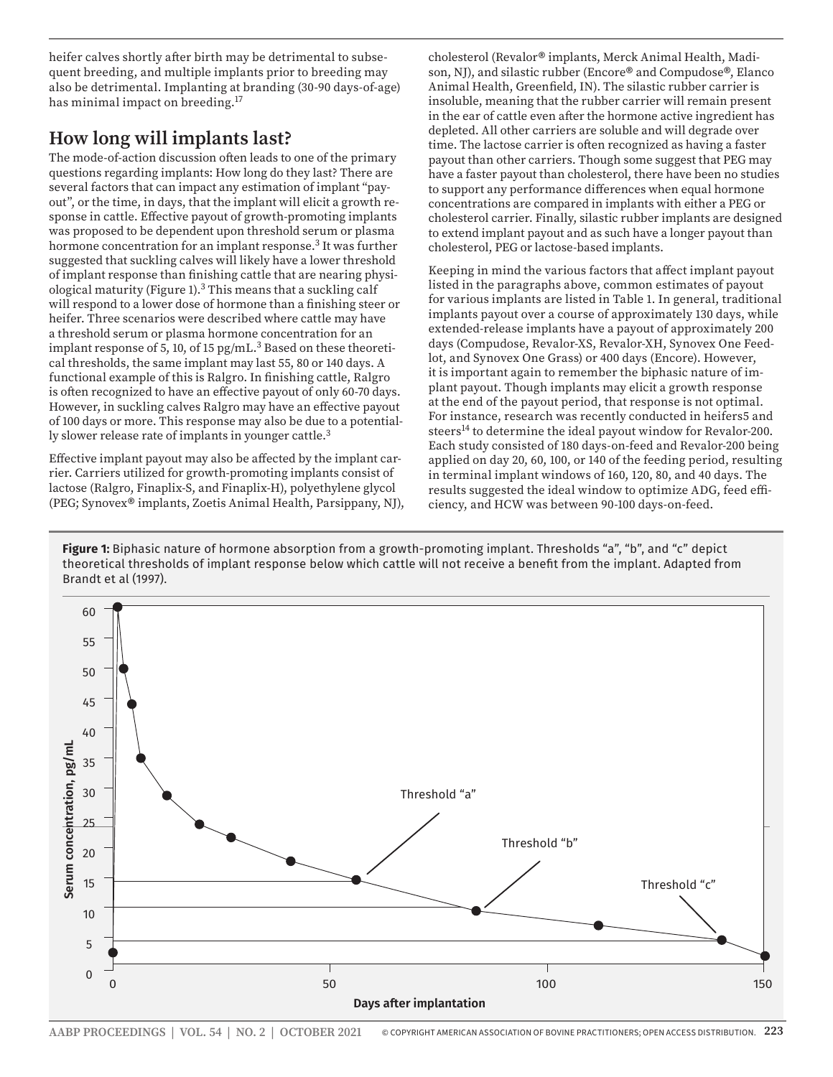heifer calves shortly after birth may be detrimental to subsequent breeding, and multiple implants prior to breeding may also be detrimental. Implanting at branding (30-90 days-of-age) has minimal impact on breeding.17

#### **How long will implants last?**

The mode-of-action discussion often leads to one of the primary questions regarding implants: How long do they last? There are several factors that can impact any estimation of implant "payout", or the time, in days, that the implant will elicit a growth response in cattle. Effective payout of growth-promoting implants was proposed to be dependent upon threshold serum or plasma hormone concentration for an implant response.3 It was further suggested that suckling calves will likely have a lower threshold of implant response than finishing cattle that are nearing physiological maturity (Figure 1). $3$  This means that a suckling calf will respond to a lower dose of hormone than a finishing steer or heifer. Three scenarios were described where cattle may have a threshold serum or plasma hormone concentration for an implant response of 5, 10, of 15  $pg/mL$ <sup>3</sup> Based on these theoretical thresholds, the same implant may last 55, 80 or 140 days. A functional example of this is Ralgro. In finishing cattle, Ralgro is often recognized to have an effective payout of only 60-70 days. However, in suckling calves Ralgro may have an effective payout of 100 days or more. This response may also be due to a potentially slower release rate of implants in younger cattle.<sup>3</sup>

Effective implant payout may also be affected by the implant carrier. Carriers utilized for growth-promoting implants consist of lactose (Ralgro, Finaplix-S, and Finaplix-H), polyethylene glycol (PEG; Synovex® implants, Zoetis Animal Health, Parsippany, NJ), cholesterol (Revalor® implants, Merck Animal Health, Madison, NJ), and silastic rubber (Encore® and Compudose®, Elanco Animal Health, Greenfield, IN). The silastic rubber carrier is insoluble, meaning that the rubber carrier will remain present in the ear of cattle even after the hormone active ingredient has depleted. All other carriers are soluble and will degrade over time. The lactose carrier is often recognized as having a faster payout than other carriers. Though some suggest that PEG may have a faster payout than cholesterol, there have been no studies to support any performance differences when equal hormone concentrations are compared in implants with either a PEG or cholesterol carrier. Finally, silastic rubber implants are designed to extend implant payout and as such have a longer payout than cholesterol, PEG or lactose-based implants.

Keeping in mind the various factors that affect implant payout listed in the paragraphs above, common estimates of payout for various implants are listed in Table 1. In general, traditional implants payout over a course of approximately 130 days, while extended-release implants have a payout of approximately 200 days (Compudose, Revalor-XS, Revalor-XH, Synovex One Feedlot, and Synovex One Grass) or 400 days (Encore). However, it is important again to remember the biphasic nature of implant payout. Though implants may elicit a growth response at the end of the payout period, that response is not optimal. For instance, research was recently conducted in heifers5 and steers<sup>14</sup> to determine the ideal payout window for Revalor-200. Each study consisted of 180 days-on-feed and Revalor-200 being applied on day 20, 60, 100, or 140 of the feeding period, resulting in terminal implant windows of 160, 120, 80, and 40 days. The results suggested the ideal window to optimize ADG, feed efficiency, and HCW was between 90-100 days-on-feed.

**Figure 1:** Biphasic nature of hormone absorption from a growth-promoting implant. Thresholds "a", "b", and "c" depict theoretical thresholds of implant response below which cattle will not receive a benefit from the implant. Adapted from Brandt et al (1997).

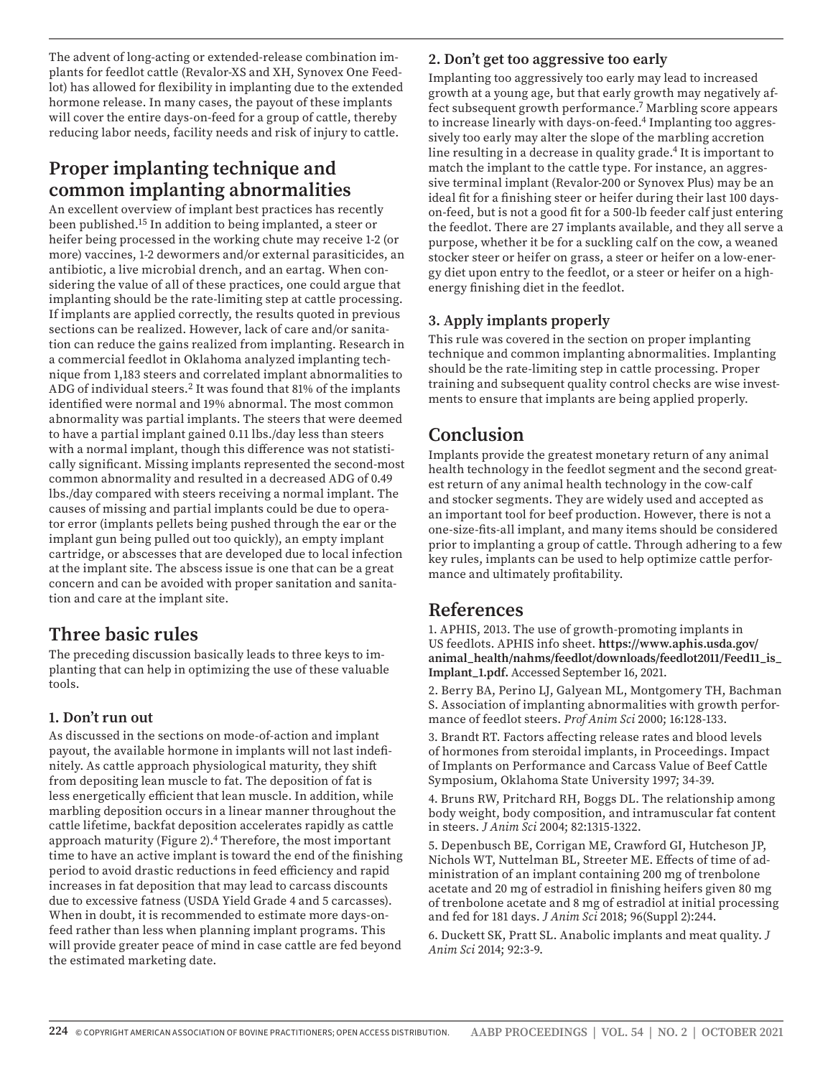The advent of long-acting or extended-release combination implants for feedlot cattle (Revalor-XS and XH, Synovex One Feedlot) has allowed for flexibility in implanting due to the extended hormone release. In many cases, the payout of these implants will cover the entire days-on-feed for a group of cattle, thereby reducing labor needs, facility needs and risk of injury to cattle.

## **Proper implanting technique and common implanting abnormalities**

An excellent overview of implant best practices has recently been published.15 In addition to being implanted, a steer or heifer being processed in the working chute may receive 1-2 (or more) vaccines, 1-2 dewormers and/or external parasiticides, an antibiotic, a live microbial drench, and an eartag. When considering the value of all of these practices, one could argue that implanting should be the rate-limiting step at cattle processing. If implants are applied correctly, the results quoted in previous sections can be realized. However, lack of care and/or sanitation can reduce the gains realized from implanting. Research in a commercial feedlot in Oklahoma analyzed implanting technique from 1,183 steers and correlated implant abnormalities to ADG of individual steers.2 It was found that 81% of the implants identified were normal and 19% abnormal. The most common abnormality was partial implants. The steers that were deemed to have a partial implant gained 0.11 lbs./day less than steers with a normal implant, though this difference was not statistically significant. Missing implants represented the second-most common abnormality and resulted in a decreased ADG of 0.49 lbs./day compared with steers receiving a normal implant. The causes of missing and partial implants could be due to operator error (implants pellets being pushed through the ear or the implant gun being pulled out too quickly), an empty implant cartridge, or abscesses that are developed due to local infection at the implant site. The abscess issue is one that can be a great concern and can be avoided with proper sanitation and sanitation and care at the implant site.

## **Three basic rules**

The preceding discussion basically leads to three keys to implanting that can help in optimizing the use of these valuable tools.

#### **1. Don't run out**

As discussed in the sections on mode-of-action and implant payout, the available hormone in implants will not last indefinitely. As cattle approach physiological maturity, they shift from depositing lean muscle to fat. The deposition of fat is less energetically efficient that lean muscle. In addition, while marbling deposition occurs in a linear manner throughout the cattle lifetime, backfat deposition accelerates rapidly as cattle approach maturity (Figure 2).4 Therefore, the most important time to have an active implant is toward the end of the finishing period to avoid drastic reductions in feed efficiency and rapid increases in fat deposition that may lead to carcass discounts due to excessive fatness (USDA Yield Grade 4 and 5 carcasses). When in doubt, it is recommended to estimate more days-onfeed rather than less when planning implant programs. This will provide greater peace of mind in case cattle are fed beyond the estimated marketing date.

#### **2. Don't get too aggressive too early**

Implanting too aggressively too early may lead to increased growth at a young age, but that early growth may negatively affect subsequent growth performance.7 Marbling score appears to increase linearly with days-on-feed.<sup>4</sup> Implanting too aggressively too early may alter the slope of the marbling accretion line resulting in a decrease in quality grade.<sup>4</sup> It is important to match the implant to the cattle type. For instance, an aggressive terminal implant (Revalor-200 or Synovex Plus) may be an ideal fit for a finishing steer or heifer during their last 100 dayson-feed, but is not a good fit for a 500-lb feeder calf just entering the feedlot. There are 27 implants available, and they all serve a purpose, whether it be for a suckling calf on the cow, a weaned stocker steer or heifer on grass, a steer or heifer on a low-energy diet upon entry to the feedlot, or a steer or heifer on a highenergy finishing diet in the feedlot.

#### **3. Apply implants properly**

This rule was covered in the section on proper implanting technique and common implanting abnormalities. Implanting should be the rate-limiting step in cattle processing. Proper training and subsequent quality control checks are wise investments to ensure that implants are being applied properly.

## **Conclusion**

Implants provide the greatest monetary return of any animal health technology in the feedlot segment and the second greatest return of any animal health technology in the cow-calf and stocker segments. They are widely used and accepted as an important tool for beef production. However, there is not a one-size-fits-all implant, and many items should be considered prior to implanting a group of cattle. Through adhering to a few key rules, implants can be used to help optimize cattle performance and ultimately profitability.

#### **References**

1. APHIS, 2013. The use of growth-promoting implants in US feedlots. APHIS info sheet. **https://www.aphis.usda.gov/ animal\_health/nahms/feedlot/downloads/feedlot2011/Feed11\_is\_ Implant\_1.pdf.** Accessed September 16, 2021.

2. Berry BA, Perino LJ, Galyean ML, Montgomery TH, Bachman S. Association of implanting abnormalities with growth performance of feedlot steers. *Prof Anim Sci* 2000; 16:128-133.

3. Brandt RT. Factors affecting release rates and blood levels of hormones from steroidal implants, in Proceedings. Impact of Implants on Performance and Carcass Value of Beef Cattle Symposium, Oklahoma State University 1997; 34-39.

4. Bruns RW, Pritchard RH, Boggs DL. The relationship among body weight, body composition, and intramuscular fat content in steers. *J Anim Sci* 2004; 82:1315-1322.

5. Depenbusch BE, Corrigan ME, Crawford GI, Hutcheson JP, Nichols WT, Nuttelman BL, Streeter ME. Effects of time of administration of an implant containing 200 mg of trenbolone acetate and 20 mg of estradiol in finishing heifers given 80 mg of trenbolone acetate and 8 mg of estradiol at initial processing and fed for 181 days. *J Anim Sci* 2018; 96(Suppl 2):244.

6. Duckett SK, Pratt SL. Anabolic implants and meat quality. *J Anim Sci* 2014; 92:3-9.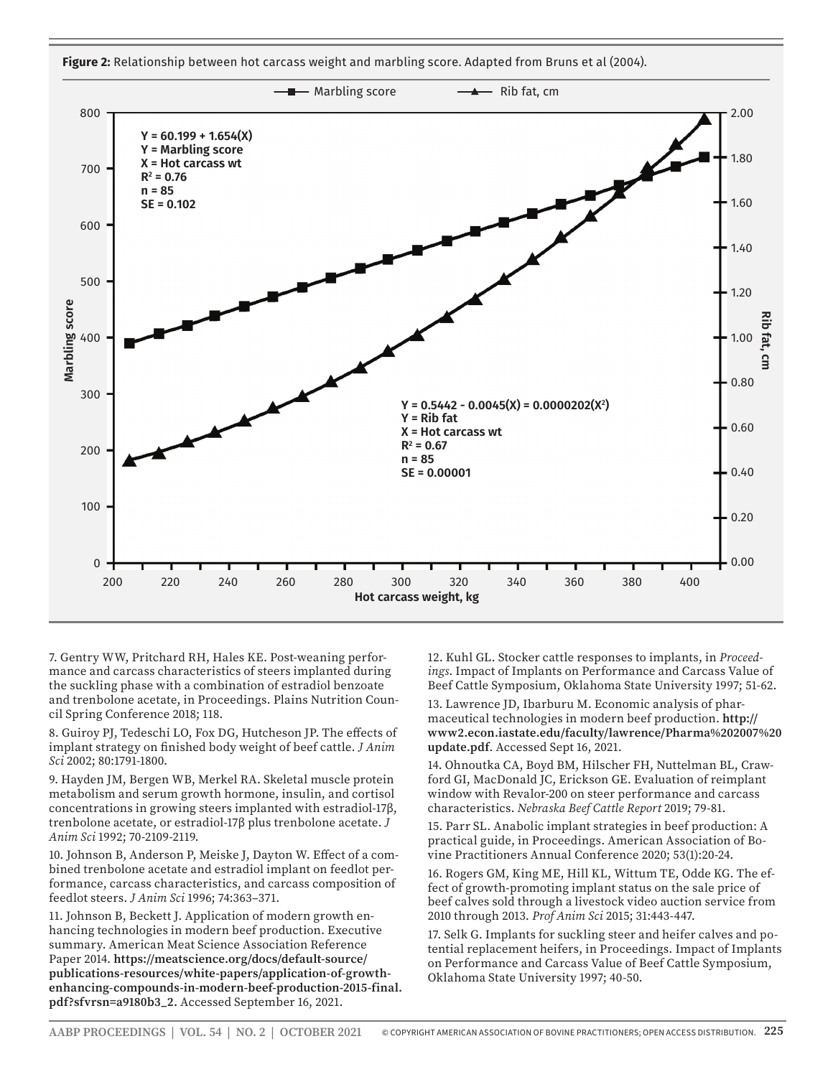



7. Gentry WW, Pritchard RH, Hales KE. Post-weaning performance and carcass characteristics of steers implanted during the suckling phase with a combination of estradiol benzoate and trenbolone acetate, in Proceedings. Plains Nutrition Council Spring Conference 2018; 118.

8. Guiroy PJ, Tedeschi LO, Fox DG, Hutcheson JP. The effects of implant strategy on finished body weight of beef cattle. *J Anim Sci* 2002; 80:1791-1800.

9. Hayden JM, Bergen WB, Merkel RA. Skeletal muscle protein metabolism and serum growth hormone, insulin, and cortisol concentrations in growing steers implanted with estradiol-17β, trenbolone acetate, or estradiol-17β plus trenbolone acetate. *J Anim Sci* 1992; 70-2109-2119.

10. Johnson B, Anderson P, Meiske J, Dayton W. Effect of a combined trenbolone acetate and estradiol implant on feedlot performance, carcass characteristics, and carcass composition of feedlot steers. *J Anim Sci* 1996; 74:363–371.

11. Johnson B, Beckett J. Application of modern growth enhancing technologies in modern beef production. Executive summary. American Meat Science Association Reference Paper 2014. **https://meatscience.org/docs/default-source/ publications-resources/white-papers/application-of-growthenhancing-compounds-in-modern-beef-production-2015-final. pdf?sfvrsn=a9180b3\_2.** Accessed September 16, 2021.

12. Kuhl GL. Stocker cattle responses to implants, in *Proceedings*. Impact of Implants on Performance and Carcass Value of Beef Cattle Symposium, Oklahoma State University 1997; 51-62.

13. Lawrence JD, Ibarburu M. Economic analysis of pharmaceutical technologies in modern beef production. **http:// www2.econ.iastate.edu/faculty/lawrence/Pharma%202007%20 update.pdf**. Accessed Sept 16, 2021.

14. Ohnoutka CA, Boyd BM, Hilscher FH, Nuttelman BL, Crawford GI, MacDonald JC, Erickson GE. Evaluation of reimplant window with Revalor-200 on steer performance and carcass characteristics. *Nebraska Beef Cattle Report* 2019; 79-81.

15. Parr SL. Anabolic implant strategies in beef production: A practical guide, in Proceedings. American Association of Bovine Practitioners Annual Conference 2020; 53(1):20-24.

16. Rogers GM, King ME, Hill KL, Wittum TE, Odde KG. The effect of growth-promoting implant status on the sale price of beef calves sold through a livestock video auction service from 2010 through 2013. *Prof Anim Sci* 2015; 31:443-447.

17. Selk G. Implants for suckling steer and heifer calves and potential replacement heifers, in Proceedings. Impact of Implants on Performance and Carcass Value of Beef Cattle Symposium, Oklahoma State University 1997; 40-50.